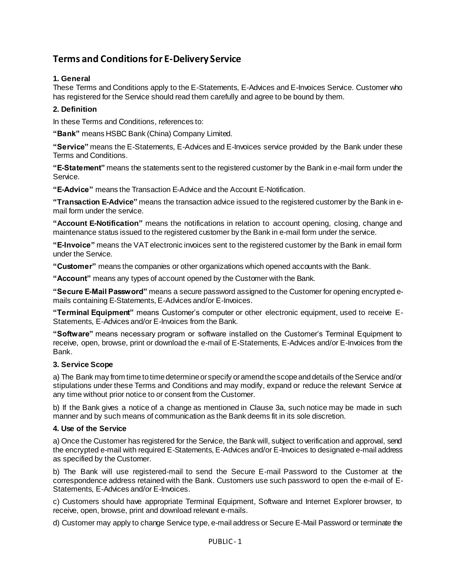# **Terms and Conditionsfor E-Delivery Service**

# **1. General**

These Terms and Conditions apply to the E-Statements, E-Advices and E-Invoices Service. Customer who has registered for the Service should read them carefully and agree to be bound by them.

## **2. Definition**

In these Terms and Conditions, references to:

**"Bank"** means HSBC Bank (China) Company Limited.

**"Service"** means the E-Statements, E-Advices and E-Invoices service provided by the Bank under these Terms and Conditions.

**"E-Statement"** means the statements sent to the registered customer by the Bank in e-mail form under the Service.

**"E-Advice"** means the Transaction E-Advice and the Account E-Notification.

**"Transaction E-Advice"** means the transaction advice issued to the registered customer by the Bank in email form under the service.

**"Account E-Notification"** means the notifications in relation to account opening, closing, change and maintenance status issued to the registered customer by the Bank in e-mail form under the service.

**"E-Invoice"** means the VAT electronic invoices sent to the registered customer by the Bank in email form under the Service.

**"Customer"** means the companies or other organizations which opened accounts with the Bank.

**"Account"** means any types of account opened by the Customer with the Bank.

**"Secure E-Mail Password"** means a secure password assigned to the Customer for opening encrypted emails containing E-Statements, E-Advices and/or E-Invoices.

**"Terminal Equipment"** means Customer's computer or other electronic equipment, used to receive E-Statements, E-Advices and/or E-Invoices from the Bank.

**"Software"** means necessary program or software installed on the Customer's Terminal Equipment to receive, open, browse, print or download the e-mail of E-Statements, E-Advices and/or E-Invoices from the Bank.

#### **3. Service Scope**

a) The Bank may from time to time determine or specify or amend the scope and details of the Service and/or stipulations under these Terms and Conditions and may modify, expand or reduce the relevant Service at any time without prior notice to or consent from the Customer.

b) If the Bank gives a notice of a change as mentioned in Clause 3a, such notice may be made in such manner and by such means of communication as the Bank deems fit in its sole discretion.

## **4. Use of the Service**

a) Once the Customer has registered for the Service, the Bank will, subject to verification and approval, send the encrypted e-mail with required E-Statements, E-Advices and/or E-Invoices to designated e-mail address as specified by the Customer.

b) The Bank will use registered-mail to send the Secure E-mail Password to the Customer at the correspondence address retained with the Bank. Customers use such password to open the e-mail of E-Statements, E-Advices and/or E-Invoices.

c) Customers should have appropriate Terminal Equipment, Software and Internet Explorer browser, to receive, open, browse, print and download relevant e-mails.

d) Customer may apply to change Service type, e-mail address or Secure E-Mail Password or terminate the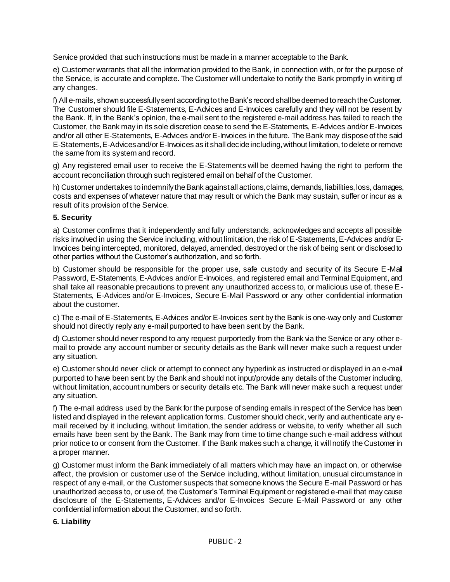Service provided that such instructions must be made in a manner acceptable to the Bank.

e) Customer warrants that all the information provided to the Bank, in connection with, or for the purpose of the Service, is accurate and complete. The Customer will undertake to notify the Bank promptly in writing of any changes.

f) All e-mails, shown successfully sent according to the Bank's record shall be deemed to reach the Customer. The Customer should file E-Statements, E-Advices and E-Invoices carefully and they will not be resent by the Bank. If, in the Bank's opinion, the e-mail sent to the registered e-mail address has failed to reach the Customer, the Bank may in its sole discretion cease to send the E-Statements, E-Advices and/or E-Invoices and/or all other E-Statements, E-Advices and/or E-Invoices in the future. The Bank may dispose of the said E-Statements, E-Advices and/or E-Invoices as it shall decide including, without limitation, to delete or remove the same from its system and record.

g) Any registered email user to receive the E-Statements will be deemed having the right to perform the account reconciliation through such registered email on behalf of the Customer.

h) Customer undertakes to indemnify the Bank against all actions, claims, demands, liabilities, loss, damages, costs and expenses of whatever nature that may result or which the Bank may sustain, suffer or incur as a result of its provision of the Service.

## **5. Security**

a) Customer confirms that it independently and fully understands, acknowledges and accepts all possible risks involved in using the Service including, without limitation, the risk of E-Statements, E-Advices and/or E-Invoices being intercepted, monitored, delayed, amended, destroyed or the risk of being sent or disclosed to other parties without the Customer's authorization, and so forth.

b) Customer should be responsible for the proper use, safe custody and security of its Secure E-Mail Password, E-Statements, E-Advices and/or E-Invoices, and registered email and Terminal Equipment, and shall take all reasonable precautions to prevent any unauthorized access to, or malicious use of, these E-Statements, E-Advices and/or E-Invoices, Secure E-Mail Password or any other confidential information about the customer.

c) The e-mail of E-Statements, E-Advices and/or E-Invoices sent by the Bank is one-way only and Customer should not directly reply any e-mail purported to have been sent by the Bank.

d) Customer should never respond to any request purportedly from the Bank via the Service or any other email to provide any account number or security details as the Bank will never make such a request under any situation.

e) Customer should never click or attempt to connect any hyperlink as instructed or displayed in an e-mail purported to have been sent by the Bank and should not input/provide any details of the Customer including, without limitation, account numbers or security details etc. The Bank will never make such a request under any situation.

f) The e-mail address used by the Bank for the purpose of sending emails in respect of the Service has been listed and displayed in the relevant application forms. Customer should check, verify and authenticate any email received by it including, without limitation, the sender address or website, to verify whether all such emails have been sent by the Bank. The Bank may from time to time change such e-mail address without prior notice to or consent from the Customer. If the Bank makes such a change, it will notify the Customer in a proper manner.

g) Customer must inform the Bank immediately of all matters which may have an impact on, or otherwise affect, the provision or customer use of the Service including, without limitation, unusual circumstance in respect of any e-mail, or the Customer suspects that someone knows the Secure E-mail Password or has unauthorized access to, or use of, the Customer's Terminal Equipment or registered e-mail that may cause disclosure of the E-Statements, E-Advices and/or E-Invoices Secure E-Mail Password or any other confidential information about the Customer, and so forth.

#### **6. Liability**